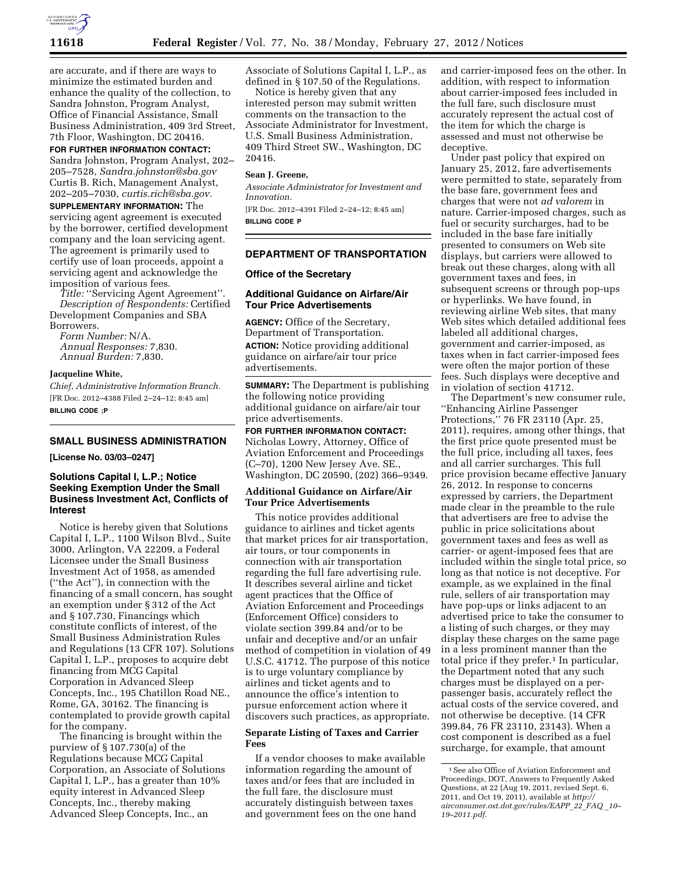

are accurate, and if there are ways to minimize the estimated burden and enhance the quality of the collection, to Sandra Johnston, Program Analyst, Office of Financial Assistance, Small Business Administration, 409 3rd Street, 7th Floor, Washington, DC 20416.

**FOR FURTHER INFORMATION CONTACT:**  Sandra Johnston, Program Analyst, 202– 205–7528, *[Sandra.johnston@sba.gov](mailto:Sandra.johnston@sba.gov)*  Curtis B. Rich, Management Analyst, 202–205–7030, *[curtis.rich@sba.gov.](mailto:curtis.rich@sba.gov)* 

**SUPPLEMENTARY INFORMATION:** The servicing agent agreement is executed by the borrower, certified development company and the loan servicing agent. The agreement is primarily used to certify use of loan proceeds, appoint a servicing agent and acknowledge the imposition of various fees.

*Title:* ''Servicing Agent Agreement''. *Description of Respondents:* Certified Development Companies and SBA Borrowers.

*Form Number:* N/A. *Annual Responses:* 7,830. *Annual Burden:* 7,830.

#### **Jacqueline White,**

*Chief, Administrative Information Branch.*  [FR Doc. 2012–4388 Filed 2–24–12; 8:45 am] **BILLING CODE ;P** 

## **SMALL BUSINESS ADMINISTRATION**

**[License No. 03/03–0247]** 

## **Solutions Capital I, L.P.; Notice Seeking Exemption Under the Small Business Investment Act, Conflicts of Interest**

Notice is hereby given that Solutions Capital I, L.P., 1100 Wilson Blvd., Suite 3000, Arlington, VA 22209, a Federal Licensee under the Small Business Investment Act of 1958, as amended (''the Act''), in connection with the financing of a small concern, has sought an exemption under § 312 of the Act and § 107.730, Financings which constitute conflicts of interest, of the Small Business Administration Rules and Regulations (13 CFR 107). Solutions Capital I, L.P., proposes to acquire debt financing from MCG Capital Corporation in Advanced Sleep Concepts, Inc., 195 Chatillon Road NE., Rome, GA, 30162. The financing is contemplated to provide growth capital for the company.

The financing is brought within the purview of § 107.730(a) of the Regulations because MCG Capital Corporation, an Associate of Solutions Capital I, L.P., has a greater than 10% equity interest in Advanced Sleep Concepts, Inc., thereby making Advanced Sleep Concepts, Inc., an

Associate of Solutions Capital I, L.P., as defined in § 107.50 of the Regulations.

Notice is hereby given that any interested person may submit written comments on the transaction to the Associate Administrator for Investment, U.S. Small Business Administration, 409 Third Street SW., Washington, DC 20416.

### **Sean J. Greene,**

*Associate Administrator for Investment and Innovation.* 

[FR Doc. 2012–4391 Filed 2–24–12; 8:45 am] **BILLING CODE P** 

# **DEPARTMENT OF TRANSPORTATION**

### **Office of the Secretary**

#### **Additional Guidance on Airfare/Air Tour Price Advertisements**

**AGENCY:** Office of the Secretary, Department of Transportation. **ACTION:** Notice providing additional guidance on airfare/air tour price advertisements.

**SUMMARY:** The Department is publishing the following notice providing additional guidance on airfare/air tour price advertisements.

**FOR FURTHER INFORMATION CONTACT:**  Nicholas Lowry, Attorney, Office of Aviation Enforcement and Proceedings (C–70), 1200 New Jersey Ave. SE., Washington, DC 20590, (202) 366–9349.

## **Additional Guidance on Airfare/Air Tour Price Advertisements**

This notice provides additional guidance to airlines and ticket agents that market prices for air transportation, air tours, or tour components in connection with air transportation regarding the full fare advertising rule. It describes several airline and ticket agent practices that the Office of Aviation Enforcement and Proceedings (Enforcement Office) considers to violate section 399.84 and/or to be unfair and deceptive and/or an unfair method of competition in violation of 49 U.S.C. 41712. The purpose of this notice is to urge voluntary compliance by airlines and ticket agents and to announce the office's intention to pursue enforcement action where it discovers such practices, as appropriate.

## **Separate Listing of Taxes and Carrier Fees**

If a vendor chooses to make available information regarding the amount of taxes and/or fees that are included in the full fare, the disclosure must accurately distinguish between taxes and government fees on the one hand

and carrier-imposed fees on the other. In addition, with respect to information about carrier-imposed fees included in the full fare, such disclosure must accurately represent the actual cost of the item for which the charge is assessed and must not otherwise be deceptive.

Under past policy that expired on January 25, 2012, fare advertisements were permitted to state, separately from the base fare, government fees and charges that were not *ad valorem* in nature. Carrier-imposed charges, such as fuel or security surcharges, had to be included in the base fare initially presented to consumers on Web site displays, but carriers were allowed to break out these charges, along with all government taxes and fees, in subsequent screens or through pop-ups or hyperlinks. We have found, in reviewing airline Web sites, that many Web sites which detailed additional fees labeled all additional charges, government and carrier-imposed, as taxes when in fact carrier-imposed fees were often the major portion of these fees. Such displays were deceptive and in violation of section 41712.

The Department's new consumer rule, ''Enhancing Airline Passenger Protections,'' 76 FR 23110 (Apr. 25, 2011), requires, among other things, that the first price quote presented must be the full price, including all taxes, fees and all carrier surcharges. This full price provision became effective January 26, 2012. In response to concerns expressed by carriers, the Department made clear in the preamble to the rule that advertisers are free to advise the public in price solicitations about government taxes and fees as well as carrier- or agent-imposed fees that are included within the single total price, so long as that notice is not deceptive. For example, as we explained in the final rule, sellers of air transportation may have pop-ups or links adjacent to an advertised price to take the consumer to a listing of such charges, or they may display these charges on the same page in a less prominent manner than the total price if they prefer.<sup>1</sup> In particular, the Department noted that any such charges must be displayed on a perpassenger basis, accurately reflect the actual costs of the service covered, and not otherwise be deceptive. (14 CFR 399.84, 76 FR 23110, 23143). When a cost component is described as a fuel surcharge, for example, that amount

<sup>1</sup>See also Office of Aviation Enforcement and Proceedings, DOT, Answers to Frequently Asked Questions, at 22 (Aug 19, 2011, revised Sept. 6, 2011, and Oct 19, 2011), available at *[http://](http://airconsumer.ost.dot.gov/rules/EAPP_22_FAQ_10%E2%80%9319%E2%80%932011.pdf) [airconsumer.ost.dot.gov/rules/EAPP](http://airconsumer.ost.dot.gov/rules/EAPP_22_FAQ_10%E2%80%9319%E2%80%932011.pdf)*\_*22*\_*FAQ* \_*10– 19–2011.pdf.*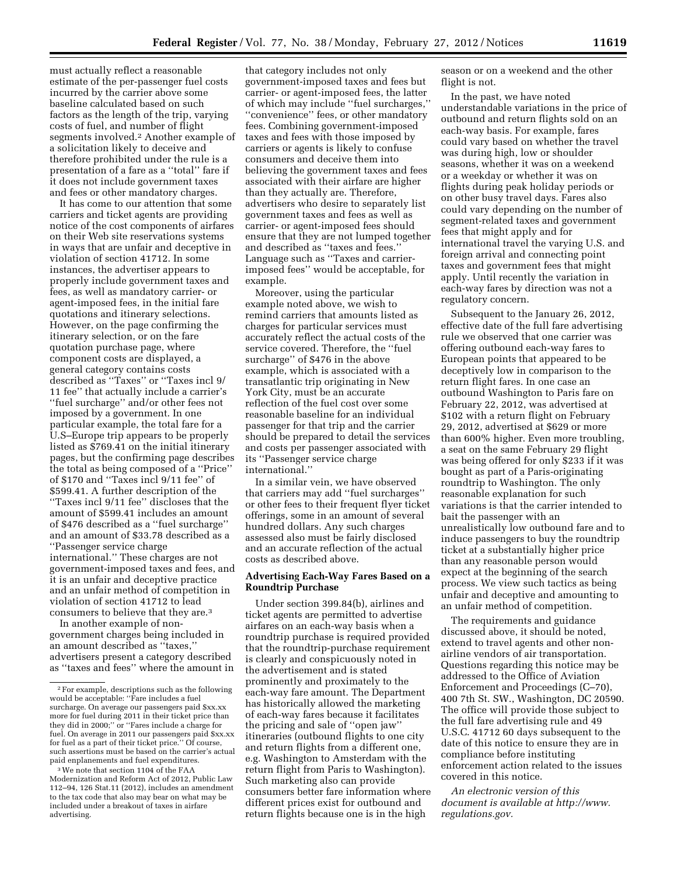must actually reflect a reasonable estimate of the per-passenger fuel costs incurred by the carrier above some baseline calculated based on such factors as the length of the trip, varying costs of fuel, and number of flight segments involved.2 Another example of a solicitation likely to deceive and therefore prohibited under the rule is a presentation of a fare as a ''total'' fare if it does not include government taxes and fees or other mandatory charges.

It has come to our attention that some carriers and ticket agents are providing notice of the cost components of airfares on their Web site reservations systems in ways that are unfair and deceptive in violation of section 41712. In some instances, the advertiser appears to properly include government taxes and fees, as well as mandatory carrier- or agent-imposed fees, in the initial fare quotations and itinerary selections. However, on the page confirming the itinerary selection, or on the fare quotation purchase page, where component costs are displayed, a general category contains costs described as ''Taxes'' or ''Taxes incl 9/ 11 fee'' that actually include a carrier's ''fuel surcharge'' and/or other fees not imposed by a government. In one particular example, the total fare for a U.S–Europe trip appears to be properly listed as \$769.41 on the initial itinerary pages, but the confirming page describes the total as being composed of a ''Price'' of \$170 and ''Taxes incl 9/11 fee'' of \$599.41. A further description of the ''Taxes incl 9/11 fee'' discloses that the amount of \$599.41 includes an amount of \$476 described as a ''fuel surcharge'' and an amount of \$33.78 described as a ''Passenger service charge international.'' These charges are not government-imposed taxes and fees, and it is an unfair and deceptive practice and an unfair method of competition in violation of section 41712 to lead consumers to believe that they are.3

In another example of nongovernment charges being included in an amount described as ''taxes,'' advertisers present a category described as ''taxes and fees'' where the amount in

that category includes not only government-imposed taxes and fees but carrier- or agent-imposed fees, the latter of which may include ''fuel surcharges,'' ''convenience'' fees, or other mandatory fees. Combining government-imposed taxes and fees with those imposed by carriers or agents is likely to confuse consumers and deceive them into believing the government taxes and fees associated with their airfare are higher than they actually are. Therefore, advertisers who desire to separately list government taxes and fees as well as carrier- or agent-imposed fees should ensure that they are not lumped together and described as ''taxes and fees.'' Language such as ''Taxes and carrierimposed fees'' would be acceptable, for example.

Moreover, using the particular example noted above, we wish to remind carriers that amounts listed as charges for particular services must accurately reflect the actual costs of the service covered. Therefore, the ''fuel surcharge'' of \$476 in the above example, which is associated with a transatlantic trip originating in New York City, must be an accurate reflection of the fuel cost over some reasonable baseline for an individual passenger for that trip and the carrier should be prepared to detail the services and costs per passenger associated with its ''Passenger service charge international.''

In a similar vein, we have observed that carriers may add ''fuel surcharges'' or other fees to their frequent flyer ticket offerings, some in an amount of several hundred dollars. Any such charges assessed also must be fairly disclosed and an accurate reflection of the actual costs as described above.

# **Advertising Each-Way Fares Based on a Roundtrip Purchase**

Under section 399.84(b), airlines and ticket agents are permitted to advertise airfares on an each-way basis when a roundtrip purchase is required provided that the roundtrip-purchase requirement is clearly and conspicuously noted in the advertisement and is stated prominently and proximately to the each-way fare amount. The Department has historically allowed the marketing of each-way fares because it facilitates the pricing and sale of ''open jaw'' itineraries (outbound flights to one city and return flights from a different one, e.g. Washington to Amsterdam with the return flight from Paris to Washington). Such marketing also can provide consumers better fare information where different prices exist for outbound and return flights because one is in the high

season or on a weekend and the other flight is not.

In the past, we have noted understandable variations in the price of outbound and return flights sold on an each-way basis. For example, fares could vary based on whether the travel was during high, low or shoulder seasons, whether it was on a weekend or a weekday or whether it was on flights during peak holiday periods or on other busy travel days. Fares also could vary depending on the number of segment-related taxes and government fees that might apply and for international travel the varying U.S. and foreign arrival and connecting point taxes and government fees that might apply. Until recently the variation in each-way fares by direction was not a regulatory concern.

Subsequent to the January 26, 2012, effective date of the full fare advertising rule we observed that one carrier was offering outbound each-way fares to European points that appeared to be deceptively low in comparison to the return flight fares. In one case an outbound Washington to Paris fare on February 22, 2012, was advertised at \$102 with a return flight on February 29, 2012, advertised at \$629 or more than 600% higher. Even more troubling, a seat on the same February 29 flight was being offered for only \$233 if it was bought as part of a Paris-originating roundtrip to Washington. The only reasonable explanation for such variations is that the carrier intended to bait the passenger with an unrealistically low outbound fare and to induce passengers to buy the roundtrip ticket at a substantially higher price than any reasonable person would expect at the beginning of the search process. We view such tactics as being unfair and deceptive and amounting to an unfair method of competition.

The requirements and guidance discussed above, it should be noted, extend to travel agents and other nonairline vendors of air transportation. Questions regarding this notice may be addressed to the Office of Aviation Enforcement and Proceedings (C–70), 400 7th St. SW., Washington, DC 20590. The office will provide those subject to the full fare advertising rule and 49 U.S.C. 41712 60 days subsequent to the date of this notice to ensure they are in compliance before instituting enforcement action related to the issues covered in this notice.

*An electronic version of this document is available at [http://www.](http://www.regulations.gov) [regulations.gov.](http://www.regulations.gov)* 

<sup>2</sup>For example, descriptions such as the following would be acceptable: ''Fare includes a fuel surcharge. On average our passengers paid \$xx.xx more for fuel during 2011 in their ticket price than they did in 2000;'' or ''Fares include a charge for fuel. On average in 2011 our passengers paid \$xx.xx for fuel as a part of their ticket price.'' Of course, such assertions must be based on the carrier's actual paid enplanements and fuel expenditures.

<sup>3</sup>We note that section 1104 of the FAA Modernization and Reform Act of 2012, Public Law 112–94, 126 Stat.11 (2012), includes an amendment to the tax code that also may bear on what may be included under a breakout of taxes in airfare advertising.